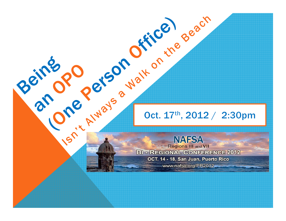

Denis De Person Office agach **Regions III and VII BI - REGIONAL CONFERENCE 2012** OCT. 14 - 18, San Juan, Puerto Rico

www.nafsa.org/PR2012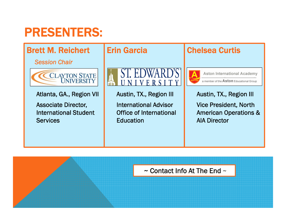## PRESENTERS:



 $\sim$  Contact Info At The End  $\sim$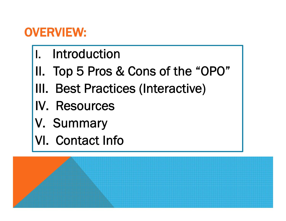## OVERVIEW:

- I. Introduction
- II. Top 5 Pros & Cons of the "OPO"
- III. Best Practices (Interactive)
- IV. Resources
- V. Summary
- VI. Contact Info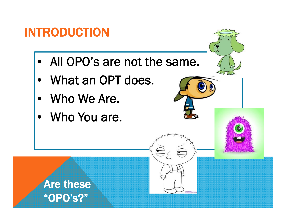## INTRODUCTION

• All OPO's are not the same.

フく

- $\bullet$ What an OPT does.
- Who We Are.
- Who You are.

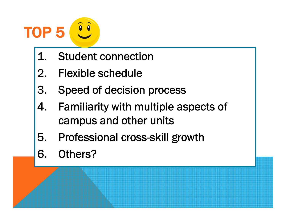

- 1. Student connection
- 2. Flexible schedule
- 3. Speed of decision process
- 4. Familiarity with multiple aspects of campus and other units
- 5. Professional cross-skill growth
- 6. Others?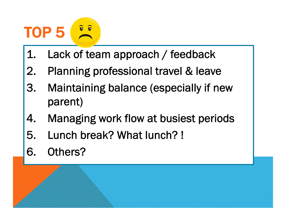#### TOP 5  $\bullet$

- 1. Lack of team approach / feedback
- 2. Planning professional travel & leave
- 3. Maintaining balance (especially if new parent)
- 4. Managing work flow at busiest periods
- 5. Lunch break? What lunch? !
- 6. Others?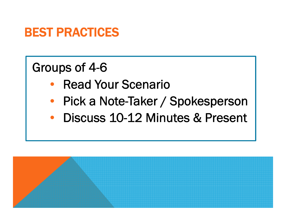## BEST PRACTICES

## Groups of 4-6

- $\bullet$ Read Your Scenario
- $\bullet$ Pick a Note-Taker / Spokesperson
- Discuss 10-12 Minutes & Present

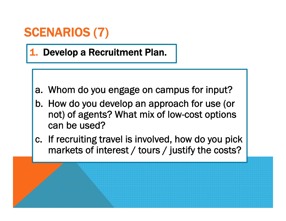1. Develop a Recruitment Plan.

- a. Whom do you engage on campus for input?
- b. How do you develop an approach for use (or not) of agents? What mix of low-cost options can be used?
- c. If recruiting travel is involved, how do you pick markets of interest / tours / justify the costs?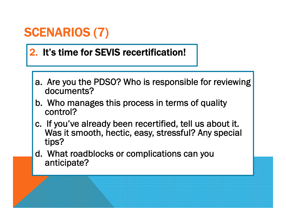#### 2. It's time for SEVIS recertification!

- a. Are you the PDSO? Who is responsible for reviewing documents?
- b. Who manages this process in terms of quality control?
- c. If you've already been recertified, tell us about it. Was it smooth, hectic, easy, stressful? Any special tips?
- d. What roadblocks or complications can you anticipate?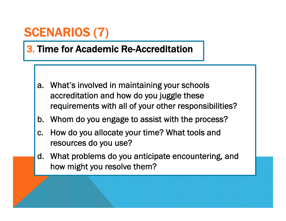#### 3. Time for Academic Re-Accreditation

- a. What's involved in maintaining your schools accreditation and how do you juggle these requirements with all of your other responsibilities?
- b. Whom do you engage to assist with the process?
- c. How do you allocate your time? What tools and resources do you use?
- d. What problems do you anticipate encountering, and how might you resolve them?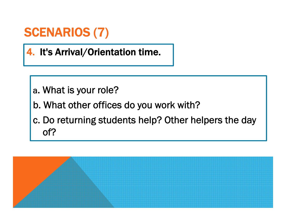4. It's Arrival/Orientation time.

- a. What is your role?
- b. What other offices do you work with?
- c. Do returning students help? Other helpers the day of?

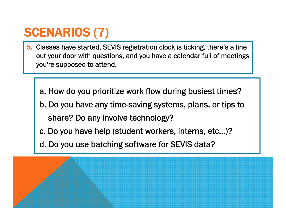- 5. Classes have started, SEVIS registration clock is ticking, there's a line out your door with questions, and you have a calendar full of meetings you're supposed to attend.
	- a. How do you prioritize work flow during busiest times?
	- b. Do you have any time-saving systems, plans, or tips to share? Do any involve technology?
	- c. Do you have help (student workers, interns, etc…)?
	- d. Do you use batching software for SEVIS data?

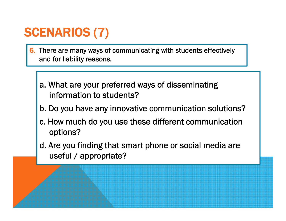- 6. There are many ways of communicating with students effectively and for liability reasons.
	- a. What are your preferred ways of disseminating information to students?
	- b. Do you have any innovative communication solutions?
	- c. How much do you use these different communication options?
	- d. Are you finding that smart phone or social media are useful / appropriate?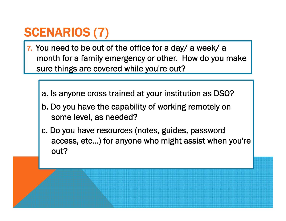- 7. You need to be out of the office for a day/ a week/ a month for a family emergency or other. How do you make sure things are covered while you're out?
	- a. Is anyone cross trained at your institution as DSO?
	- b. Do you have the capability of working remotely on some level, as needed?
	- c. Do you have resources (notes, guides, password access, etc…) for anyone who might assist when you're out?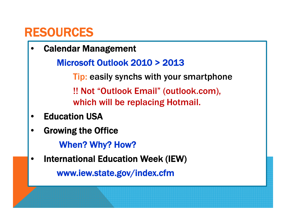•Calendar Management

Microsoft Outlook 2010 > 2013

Tip: easily synchs with your smartphone !! Not "Outlook Email" (outlook.com), which will be replacing Hotmail.

- •Education USA
- •Growing the Office

When? Why? How?

•International Education Week (IEW)

www.iew.state.gov/index.cfm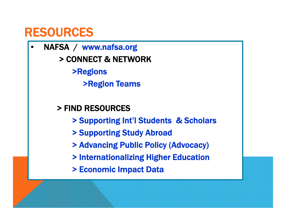• NAFSA / www.nafsa.org > CONNECT & NETWORK>Regions >Region Teams

> FIND RESOURCES

- > Supporting Int'l Students & Scholars
- > Supporting Study Abroad
- > Advancing Public Policy (Advocacy)
- > Internationalizing Higher Education
- > Economic Impact Data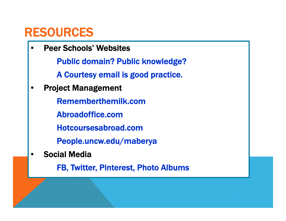•Peer Schools' Websites

Public domain? Public knowledge?

A Courtesy email is good practice.

•Project Management

Rememberthemilk.com

Abroadoffice.com

Hotcoursesabroad.com

People.uncw.edu/maberya

•Social Media

FB, Twitter, Pinterest, Photo Albums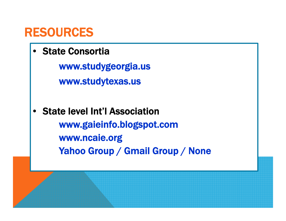•State Consortia

> www.studygeorgia.us www.studytexas.us

• State level Int'l Associationwww.gaieinfo.blogspot.com www.ncaie.org Yahoo Group / Gmail Group / None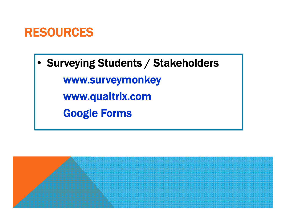• Surveying Students / Stakeholders www.surveymonkey www.qualtrix.com Google Forms

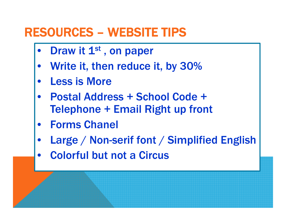#### RESOURCES – WEBSITE TIPS

- $\bullet$ Draw it 1<sup>st</sup>, on paper
- $\bullet$ Write it, then reduce it, by 30%
- $\bullet$ Less is More
- $\bullet$  Postal Address + School Code + Telephone + Email Right up front
- $\bullet$ Forms Chanel
- $\bullet$ Large / Non-serif font / Simplified English
- $\bullet$ Colorful but not a Circus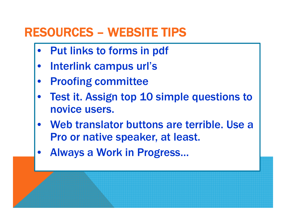## RESOURCES – WEBSITE TIPS

- $\bullet$ Put links to forms in pdf
- $\bullet$ Interlink campus url's
- $\bullet$ Proofing committee
- $\bullet$  Test it. Assign top 10 simple questions to novice users.
- $\bullet$ Web translator buttons are terrible. Use a Pro or native speaker, at least.
- $\bullet$ Always a Work in Progress…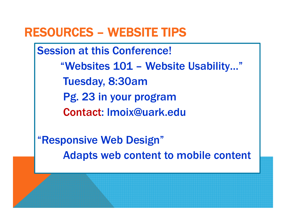#### RESOURCES – WEBSITE TIPS

Session at this Conference! "Websites 101 – Website Usability…" Tuesday, 8:30am Pg. 23 in your program Contact: lmoix@uark.edu

"Responsive Web Design" Adapts web content to mobile content